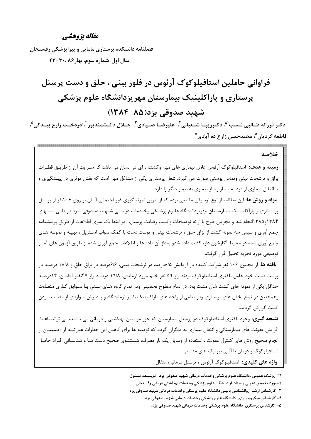#### مقاله يژوهشي

فصلنامه دانشکده پرستاری مامایی و پیرایزشکی رفسنجان سال اول. شماره سوم. بهار ۲۰، ۲۰- ۲۳

فراوانی حاملین استافیلوکوک آرئوس در فلور بینی ، حلق و دست پرسنل پرستاری و پاراکلینیک بیمارستان مهریزدانشگاه علوم پزشکی شهيد صدوقي يزد(٨۵-١٣٨۴)

دكتر فرزانه طــالبي نـــسب'\*، دكترزيبــا شــعباني'، عليرضــا صــيادي''، جـــلال دانـــشمندپور 'ْ،آذردخــت زارع بيـــدكي <sup>مْ</sup>، فاطمه کردیان<sup>۵</sup>، محمدحسن زارع ده آبادی<sup>۵</sup>

خلاصه: **زمینه و هدف**: استافیلوکوک آرئوس عامل بیماری های مهم وکشند ه ای در انسان می باشد که سـرایت آن از طریـق قطـرات بزاق و ترشحات بینی وتماس پوستی صورت می گیرد. شغل پرستاری یکی از مشاغل مهم است که نقش موثری در پیـشگیری و یا انتقال بیماری از فرد به بیمار ویا از بیماری به بیمار دیگر را دارد.

**مواد و روش ها:** این مطالعه از نوع توصیفی مقطعی بوده که از طریق نمونه گیری غیر احتمالی آسان بر روی ۱۰۶نفر از پرسنل پرسـتاري و پاراكلينيــک بيمارسـتان مهريزدانــشگاه علــوم پزشــکي وخــدمات درمــاني شــهيد صــدوقي يــزد در طــي ســالهاي ۱۳۸۴و۱۳۸۵انجام شد و مجریان طرح با ارائه توضیحات وکسب رضایت پرسنل، در ابتدا یک سری اطلاعات از طریق پرسشنامه جمع آوري و سپس سه نمونه كشت از بزاق حلق ، ترشحات بيني و پوست دست با كمك سواپ اسـتريل ، تهيـه و نمونـه هـاي جمع آوري شده در محيط آگارخون دار، كشت داده شدو بعداز آن داده ها و اطلاعات جمع آوري شده از طريق آزمون هاي آمـار توصيفي مورد تجزيه تحليل قرار گرفت.

**یافته ها:** از مجموع ۱۰۶ نفر شرکت کننده در آزمایش ۸/۵درصد در ترشحات بینی، ۶/۶درصد در بزاق حلق و ۱۸/۸ درصـد در پوست دست خود حامل باکتری استافیلوکوک بودند واز ۵۹ نفر خانم مورد آزمایش، ۱۹/۸ درصـد واز ۴۷نفـر آقایـان، ۱۴درصـد حداقل یکی از نمونه های کشت شان مثبت بود. در تمام سطوح تحصیلی ودر تمام گروه هـای سـنی بـا سـوابق کـاری متفـاوت وهمچنین در تمام بخش های پرستاری ودر بعضی از واحد های پاراکلینیک نظیر آزمایشگاه و پـذیرش مـواردی از مثبـت بـودن كشت گزارش گرديد.

**نتیجه گیری**: وجود باکتری استافیلوکوک در پرسنل بیمارستان که جزو مراقبین بهداشتی و درمانی می باشند، می تواند باعث افزایش عفونت های بیمارستانی و انتقال بیماری به دیگران گردد که توصیه ها برای کاهش این خطرات عبارتنـد از :اطمینــان از انجام صحیح روش های کنترل عفونت ، استفاده از وسایل یک بار مصرف، شستشوی صحیح دست هـا و شناسـائی افـراد حامـل استافیلوکوک و درمان با آنتی بیوتیک های مناسب.

واژه های کلیدی: استافیلوکوک آرئوس ، پرسنل درمانی، انتقال

۱\*- پزشک عمومی ،دانشگاه علوم پزشکی وخدمات درمانی شهید صدوقی یزد- نویسنده مسئول.

۲- بورد تخصص عفونی واستادیار دانشگاه علوم پزشکی وخدمات بهداشتی درمانی رفسنجان

۳- کارشناس ارشد روانشناسی بالینی دانشگاه علوم پزشکی وخدمات درمانی شهید صدوقی یزد.

۴- کارشناس میکروبیولوژی دانشگاه علوم پزشکی وخدمات درمانی شهید صدوقی یزد.

۵- کارشناس پرستاری دانشگاه علوم پزشکی وخدمات درمانی شهید صدوقی یزد.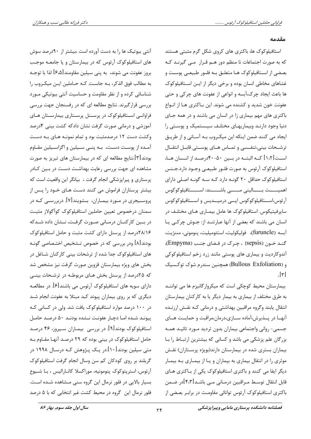#### مقدمه

استافیلوکوک ها، باکتری های کروی شکل گرم مثبتی هستند که به صورت اجتماعات نا منظم دور هـم قـرار مـي گيرنـد کـه بعضی از استافیلوکوک هـا متعلـق بـه فلـور طبیعـی پوسـت و غشاهای مخاطی انسان بوده و برخی دیگر از ایـن اسـتافیلوکوک ها باعث ايجاد چرک،آبسه و انواعي از عفونت هاي چرکي و حتي عفونت خون شدید و کشنده می شوند. این بـاکتری هـا از انـواع باکتری های مهم بیماری زا در انسان می باشند و در همه جای دنیا وجود دارنـد وبیماریهـای مختلـف سیـستمیک و پوسـتی را ایجاد می کنند ضمن اینکه این میکروب بـه آسـانی و از طریـق ترشــحات بيني،تنفــسي و تمــاس هــاي پوســتي قابــل انتقــال اســت[۱،۲] کــه البتــه در بــین ۵۰-۴۰درصــد از انــسان هــا، استافیلوکوک آرئوس به صورت فلـور طبیعـی وجـود دارد.جـنس استافیلوکوک حداقل ۲۰ گونـه دارد کـه سـه گونـه اصـلی دارای اهميـــــت بــــاليني مـــــى باشـــــند: اســـــتافيلوكوكوس آرئوس،اســتافیلوکوکوس ایــی درمیــدیس و اســتافیلوکوکوس ساپرفیتیکوس. استافیلوکوک ها عامل بیمـاری هـای مختلـف در انسان می باشند که بعضی از آنها عبارتنـد از: جـوش چرکـی یـا آبسه (furuncle)، فوليكوليت، استئوميليت، پنوموني، مننژيت، گنـد خـون (sepsis) ، چـرک در فـضای جنـب (Empyma)، آندوکاردیت و بیماری های پوستی مانند زرد زخم استافیلوکوکی و (Bullous Exfoliation) همچنین سندرم شوک توکـسیک  $\lceil r \rceil$ 

بیمارستان محیط کوچکی است که میکروار گانیزم ها می تواننـد به طرق مختلف از بیماری به بیمار دیگر یا به کارکنان بیمارستان انتقال یابند وگروه مراقبین بهداشتی و درمانی کـه نقـش ارزنـده آنهـا در پــذیرش،آماده ســازی،درمان،مراقبت و حمایــت هــای جسمی- روانی واجتماعی بیماران بدون تردید مـورد تائیـد همـه بزرگان علم پزشکی می باشد و کسانی که بیشترین ارتباط را با بیماران بستری شده در بیمارستان دارند(بویژه پرستاران) نقش موثری را در انتقال بیماری به بیماران و یـا از بیمـاری بـه بیمـار دیگر ایفا می کنند و باکتری استافیلوکوک یکی از بـاکتری هـای قابل انتقال توسـط مـراقبين درمـاني مـي باشـد[۴،۳]در ضـمن باکتری استافیلوکوک آرئوس توانائی مقاومت در برابـر بعـضی از

آنتی بیوتیک ها را به دست آورده است ،بیشتر از ۹۰درصد سوش های استافیلوکوک آرئوس که در بیمارستان و یا جامعـه موجـب بروز عفونت می شوند، به پنی سیلین مقاومند[۶٬۵] لذا با توجـه به مطالب فوق الذكر، بـه جاسـت كـه حـاملين ايـن ميكـروب را شناسائی کرده و از نظر مقاومت و حساسیت آنتی بیوتیکی مـورد بررسی قرارگیرند. نتایج مطالعه ای که در رفسنجان جهت بررسی فراوانی استافیلوکوک در پرسنل پرستاری بیمارستان های آموزشی و درمانی صورت گرفت نشان دادکه کشت بینی ۴درصد وکشت دست ۱۲ درصدمثبت بود و تمام نمونـه هـای بـه دسـت آمـده از پوسـت دسـت، بـه پنــی ســیلین و اگزاســیلین مقــاوم بودند[۳].نتایج مطالعه ای که در بیمارستان های تبریز به صورت مشاهده ای جهت بررسی رعایت بهداشـت دسـت در بـین کـادر پرستاری و پیراپزشکی انجام گرفت ، بیانگر این واقعیت است که بیشتر پرستاران فراموش می کنند دست هـای خـود را پـس از پروسـیجري در مـورد بیمـاران، بـشویند[۷]. دربررسـي کـه در سمنان درخصوص تعيين حاملين استافيلوكوك كوأگولاز مثبت در بين كاركنـان درمـاني صورت گرفـت، نـشان داده شـدكه ۰/۸/۱۶درصد از پرسنل دارای کشت مثبت و حامل استافیلوکوک بودند[۸] ودر بررسی که در خصوص تـشخیص اختـصاصی گونـه های استافیلوکوک جدا شده از ترشحات بینی کارکنان شـاغل در بخش های ویژه بیمارستان قزوین صورت گرفت نیز مشخص شد که ۲۵درصد از پرسنل بخش هـای مربوطـه در ترشـحات بینـی دارای سویه های استافیلوکوک آرئوس می باشند[۶]. در مطالعـه دیگری که بر روی بیماران پیوند کبد مبتلا به عفونت انجام شـد در ۱۰۰ درصد موارد استافیلوکوک یافت شد. ولی در کسانی کـه پیونـد شـده امـا دچـار عفونـت نـشده بودنـد ۵۰ درصـد حامـل استافیلوکوک بودند[۹]. در بررسی بیمـاران سـیروز، ۴۶ درصـد حامل استافیلوکوک در بینی بوده که ۲۹ درصد آنها مقـاوم بـه متی سیلین بودند[۱۰].در یـک پـژوهش کـه درسـال ۱۹۹۸ در گریلند بر روی کودکان کم سن وسال انجام گرفت استافیلوکوک آرئوس، استرپتوكوك پنومونيه، موراكسلا كاتـاراليس ، بـا شـيوع بسیار بالایی در فلور نرمال این گروه سنی مشاهده شده است. فلور نرمال این گروه در محیط کشت غیر انتخابی که با ۵ درصد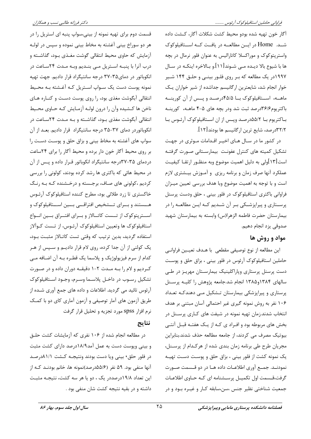آگار خون تهيه شده بودو محيط كشت شكلات آگار، كـشت داده شــد. Home در ايــن مطالعــه در يافــت كــه اســتافيلوكوک واستریتوکوک و موراکسلا کاتارالیس به عنوان فلور نرمال در بچه ها با شیوع بالا دیـده مـبی شــوند[۱۱].و بــالاخره اینکــه در ســال ۱۹۹۷در یک مطالعه که بـر روی فلـور بینـی و حلـق ۱۴۴ شـیر خوار انجام شد، شایعترین ارگانیسم جداشده از شیر خواران یک ماهـه، اسـتافيلوكوك بـا ۴۵/۵درصـد و پــس از آن كورينــه باکتریوم۳۶/۶درصد ثبت شد ودر بچه های ۵-۴ ماهـه، کورینـه بـاکتریوم بــا ۵۵/۲درصــد وپـس از ان اســتافیلوکوک آرئــوس بــا ٣٢/٢درصد، شايع ترين ارگانيسم ها بودند[١٢].

در کشور ما در سـال هـای اخیـر اقـدامات مـوثری در جهـت تشكيل كميته هاى كنترل عفونت بيمارستاني صورت گرفتـه است[۱۳]ولی به دلیل اهمیت موضوع وبه منظـور ارتقـا کیفیـت عملکرد آنها صرف زمان و برنامه ریزی و آمـوزش بیـشتری لازم است و با توجه به اهمیت موضوع وبا هدف بررسی تعیین میـزان فراوانی باکتری استافیلوکوک در فلور بینی ، حلق ودست پرسنل پرستاری و پیراپزشکی بر آن شدیم که ایـن مطالعـه را در بيمارستان حضرت فاطمه الزهرا(س) وابسته به بيمارستان شهيد صدوقي يزد انجام دهيم.

## مواد و روش ها

اين مطالعه از نوع توصيفي مقطعي با هــدف تعيــين فراوانــي حاملین استافیلوکوک آرئوس در فلور بینی ، بزاق حلق و پوست دست پرسنل پرستاری وپاراکلینیک بیمارستان مهریـز در طـی سالهای ۱۳۸۴و۱۳۸۵ انجام شد.جامعه پژوهش را کلیـه پرسـنل پرستاری و پیراپزشکی بیمارستان تـشکیل مـی دهندکـه تعـداد ۱۰۶ نفر به روش نمونه گیری غیر احتمالی آسان مبتنی بر هدف انتخاب شدند.زمان تهیه نمونه در شیفت های کـاری پرسـنل در بخش های مربوطه بود و افـراد ی کـه از یـک هفتـه قبـل آنتـی بیوتیک مصرف می کردند، از جامعه مطالعه حذف شدند.بنابراین مجریان طرح طی برنامه زمان بندی شده از هرکـدام از پرســنل، یک نمونه کشت از فلور بینی ، بزاق حلق و پوست دست تهیـه نمودنـد. جمـع آوري اطلاعـات داده هـا در دو قــسمت صــورت گرفت،قـسمت اول تکمیـل پرسـشنامه ای کـه حـاوی اطلاعـات جمعیت شناختی نظیر جنس ،سن،سابقه کـار و غیـره بـود و در

قسمت دوم برای تهیه نمونه از بینی،سواپ پنبه ای استریل را در هر دو سوراخ بینی آغشته به مخاط بینی نموده و سپس در لولـه آزمایش که حاوی محیط انتقالی گوشت مغـذی بـود، گذاشـته و درب آنرا با پنبـه اسـتریل مـی بنـدیم وبـه مـدت ۲۴سـاعت در انکوباتور در دمای۳۵-۳۷ درجه سانتیگراد قرار دادیم. جهت تهیه نمونه پوست دست یک سـواپ اسـتریل کـه آغـشته بـه محـیط انتقالی آبگوشت مغذی بود، را روی پوست دست و کنـاره هـای ناخن ها كـشيده وآن را درون لولـه آزمـايش كـه حـاوي محـيط انتقالی آبگوشت مغذی بـود، گذاشـته و بـه مـدت ۲۴سـاعت در انکوباتوردر دمای ۳۷-۳۵ درجه سانتیگراد قرار دادیم. بعـد از آن سواپ های آغشته به مخاط بینی و بزاق حلق و پوست دست را بر روی محیط آگار خون دار برده و محیط آگار را برای ۲۴ساعت دردمای ۳۵-۳۷درجه سانتیگراد انکوباتور قـرار داده و پـس از آن در محیط هائی که باکتری ها رشد کرده بودند، کولونی را بررسی کردیم ،کولونی های صاف، برجسته و درخشنده کـه بـه رنـگ خاکستری تا زرد طلائی بود، مطرح کننده استافیلوکوک آرئـوس هــستند و بــراي تــشخيص افتراقـــي بـــين اســتافيلوكوک و اســترپتوكوک از تــست كاتــالاز و بــراي افتــراق بــين انــواع استافیلوکوک ها وتعیین استافیلوکوک آرئـوس، از تـست کــوآلاز استفاده گردید، بدین ترتیب که وقتی تست کاتـالاز مثبـت بـود، یک کولنی از آن جدا کرده، روی لام قرار دادیـم و سـپس از هـر كدام از سرم فيزيولوژيک و پلاسما يک قطـره بـه آن اضـافه مـي کردیم و لام را به مـدت ۲-۱ دقیقـه دوران داده و در صـورت تشكيل رسـوب در داخـل پلاسـما وسـرم، وجـود اسـتافيلوكوک آرئوس تائید می گردید. اطلاعات و داده های جمع آوری شـده از طریق آزمون های آمار توصیفی و آزمون آماری کای دو با کمک نرم افزار spss مورد تجزیه و تحلیل قرار گرفت

### نتايج

در مطالعه انجام شده از ۱۰۶ نفری که آزمایشات کشت حلـق و بینی ویوست دست به عمل آمد۱۸/۹درصد دارای کشت مثبت در فلور حلق٬ بینی ویا دست بودند ونتیجـه کـشت ۸۱/۱درصـد آنها منفی بود. ۵۹ نفر (۵۵/۶درصد)نمونه ها، خانم بودنـد کـه از این تعداد ۱۹/۸درصددر یک ، دو یا هر سه کشت، نتیجـه مثبـت داشته و در بقیه نتیجه کشت شان منفی بود .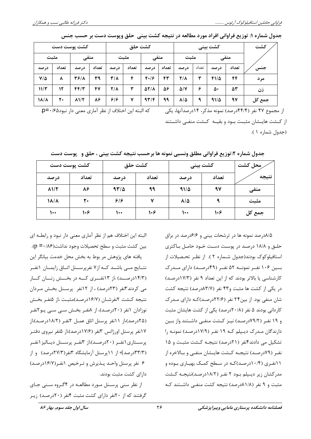| جدول شماره ۱: توزیع فراوانی افراد مورد مطالعه در نتیجه کشت بینی ًحلق وپوست دست بر حسب جنس |  |  |  |  |  |
|-------------------------------------------------------------------------------------------|--|--|--|--|--|
|-------------------------------------------------------------------------------------------|--|--|--|--|--|

|            |       | کشت پوست دست       |       | كشت حلق |       |                    | كشت بيني |                  |       |             | كشت   |        |
|------------|-------|--------------------|-------|---------|-------|--------------------|----------|------------------|-------|-------------|-------|--------|
| مثبت       |       | منفى               |       |         | مثىت  | منفى               |          | مثىت             |       | منفى        |       |        |
| در صد      | تعداد | در صد              | تعداد | در صد   | تعداد | در صد              | تعداد    | در صد            | تعداد | در صد       | تعداد | جنس    |
| $V/\Delta$ | ۸     | 3618               | ٣٩    | ۳/۸     | ۴     | F.8                | ۴٣       | 218              | ۳     | 4115        | ۴۴    | مر د   |
| 11/T       | ۱۲    | 44/2               | 47    | 218     | ٣     | $\Delta Y/\Lambda$ | ۵۶       | $\Delta/V$       | ۶     | ۵۰          | 53    | زن     |
| 18/4       | ٢٠    | $\Lambda$ $\gamma$ | 88    | ۶۱۶     | ۷     | 97/F               | ۹۹       | $\lambda/\Delta$ | ٩     | $91/\Delta$ | ۹۷    | جمع کل |

از مجموع ۴۷ نفر (۴۴/۴درصد) نمونه مذکر، ۱۴درصدآنها، یکی از کـشت هایـشان مثبـت بـود و بقیـه کـشت منفـی داشـتند (جدول شماره ۱).

كشت حلق كشت بيني محل كشت كشت يوست دست نتبجه تعداد تعداد تعداد در صد در صد در صد  $\lambda$ 1/٢ 88  $97/2$ ۹۹  $91/\Delta$  $9V$ منفى  $919$ **18/4**  $\mathbf{r}$  $\mathbf v$  $\lambda/\Delta$ ٩ مثبت  $\mathcal{L}$  $1.9$  $\mathbf{L}$  $\mathcal{N}$  $\mathbf{L}$  $1.9$ جمع کل

جدول شماره ۲:توزیع فراوانی مطلق ونسبی نمونه ها برحسب نتیجه کشت بینی ، حلق و ٪پوست دست

البته این اختلاف هم از نظر آماری معنی دار نبود و رابطـه ای بین کشت مثبت و سطح تحصیلات وجود نداشت(p =۰/۸۶). یافته های پژوهش مر بوط به بخش محل خدمت بیانگر این نتـايج مــي باشــد كــه از٧ نفرپرســنل اتــاق زايمــان ١نفــر (۱۴/۳درصــد) ،از ۱۳نفــری کــه در بخــش زنــان کــار می کردند۳نفر (۲۳درصد) ، از ۱۲نفر پرسنل بخش مردان نتيجه كـشت ٢نفرشــان (١۶/٧درصـد)مثبـت ،از ۵نفـر بخـش نوزادان ۱نفر (۲۰درصد)، از ۸نفر بخش سبی سبی یو۲نفر (۲۵درصد)،از ۱۱نفر پرسنل اتاق عمـل ۲نفـر (۱۸/۲درصـد)،از ۱۷نفر پرسنل اورژانس ۳نفر (۱۷/۶درصد)،از ۵نفر نیروی دفتـر پرستاری (نفر (٢٠درصد)،از ۳نفر پرستل دیسالیز (نفر (۳۳/۳درصد) از ۱۱ پرسنل آزمایشگاه ۳نفر(۲۷/۳درصد) و از ۶ نفر پرسنل واحـد پـذیرش و تـرخیص ۱نفـر(۱۶/۷درصـد) دارای کشت مثبت بودند.

از نظر سنی پرسنل مورد مطالعـه در ۴گـروه سـنی جـای گرفتند که از ۲۰نفر دارای کشت مثبت ۴نفر (۲۰درصد) زیـر

۸/۵درصد نمونه ها در ترشحات بینی و ۶/۶درصد در بزاق حلـق و ۱۸/۸ درصـد در پوسـت دسـت خـود حامـل بـاکترى استافیلوکوک بودند(جدول شـماره ۲). از نظـر تحـصیلات از بسین ۱۰۶ نفـر نمونــه ۵۲ نفـر (۴۹درصـد) دارای مــدرک کارشناسی یا بالاتر بودند که از این تعداد ۹ نفر (۱۷/۳درصد) در یکی از کشت ها مثبت و۴۳ نفر (۸۳/۷درصد) نتیجه کشت شان منفی بود. از بین ۲۴ نفر (۲۲/۶درصد)کـه دارای مـدرک کاردانی بودند ۵ نفر (۲۰/۸درصد) یکی از کشت هایشان مثبت و ۱۹ نفـر (۷۹/۲درصـد) نیـز کـشت منفـی داشـتند واز بـین دارندگان مـدرک دیـپلم کـه ۱۹ نفـر (۱۷/۹درصـد) نمونـه را تشکیل می دادند انفر (۲۱درصد) نتیجه کشت مثبت و ۱۵ نفـر (٧٩درصـد) نتيجـه كـشت هايـشان منفـى و بـالاخره از ۱۱نفری (۱۰/۴درصد)کـه در سطح کمـک بهیـاری بـوده و مدرکشان زیر دیبیلم ببود ۲ نفیر (۱۸/۲درصد)نتیجـه کـشت مثبت و ۹ نفر (۸۱/۸درصد) نتیجه کشت منفـی داشـتند کـه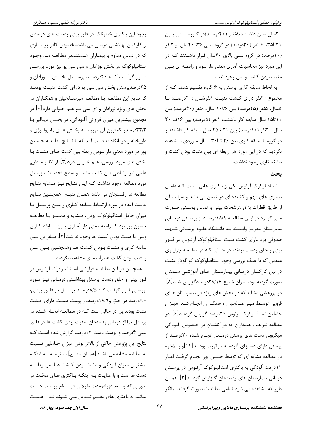۳۰سال سـن داشـتند،۸نفـر (۴۰درصـد)در گـروه سـنی بـین ۳۱ تا۳۵، ۶ نفر (۳۰درصد) در گروه سنبی ۳۶تا۴۰سال و ۲نفر (۱۰درصد) در گروه سنی بالای ۴۰سال قرار داشتند کـه در این مورد نیز محاسبات آماری معنی دار نبود و رابطـه ای بـین مثبت بودن کشت و سن وجود نداشت.

به لحاظ سابقه کاری پرسنل به ۶ گروه تقسیم شدند کـه از مجموع ٢٠نفر داراي كـشت مثبت أنفرشـان (٢٠درصـد) تـا ۵سال، ۵نفر (۲۵درصد) بین ۶تا۱۰ سال، ۸نفر (۴۰درصد) بین ٠١تا١٥ سال سابقه كار داشتند، ١نفر (٥درصد) بين ١۶تا ٢٠ سال، کنفر (١٠درصد) بين ٢١ تا٢۵ سال سابقه کار داشتند و در گروه با سابقه کاری بین ۲۶ تــا۳۰ ســال مــوردی مــشاهده نگردید که در این مورد هم رابطه ای بین مثبت بودن کشت و سابقه کاری وجود نداشت.

#### بحث

استافیلوکوک آرئوس یکی از باکتری هایی است کـه عامـل بیماری های مهم و کشنده ای در انسان می باشد و سرایت آن از طريق قطرات بزاق ،ترشحات بيني و تماس پوستي صورت مبی گیـرد در ایـن مطالعـه ۱۸/۹درصـد از پرسـنل درمـانی بیمارستان مهریـز وابـسته بـه دانـشگاه علـوم پزشـكى شـهيد صدوقی یزد دارای کشت مثبت استافیلوکوک آرئـوس در فلـور بینی و حلق ودست بودند، در حـالی کـه در مطالعـه جزایـری مقدس که با هدف بررسی وجود استافیلوکوک کوآگولاز مثبت در بین کارکنــان درمــانی بیمارســتان هــای آموزشــی ســمنان صورت گرفته بود، میزان شیوع ۲۸/۱۶درصدگزارش شـد[۸]. در پژوهشی مشابه که در بخش های ویژه در بیمارستان هـای قزوین توسط میـر صـالحیان و همکـاران انجـام شـد، میـزان حاملین استافیلوکوک آرئوس ۲۵درصد گزارش گردیـد[۶]. در مطالعه شریف و همکاران که در کاشـان در خـصوص آلـودگی میکروبی دست های پرسنل درمـانی انجـام شـد، ۲۰درصـد از پرسنل دارای دستهای آلوده به میکروب بودنـد[۱۴]و بـالاخره در مطالعه مشابه ای که توسط حسین پور انجـام گرفـت آمـار ۱۲درصد آلودگی به باکتری استافیلوکوک آرئـوس در پرسـنل درمانی بیمارستان های رفسنجان گـزارش گردیـد[۳]. همـان طور که مشاهده می شود تمامی مطالعات صورت گرفته، بیانگر

وجود این باکتری خطرناک در فلور بینی ودست های درصدی از کارکنان بھداشتی درمانی می باشد،بخصوص کادر پرستاری که در تماس مداوم با بیمـاران هـستند.در مطالعـه مـا، وجـود استافیلوکوک در بخش نوزادان و سی سی یو نیز مورد بررسی قـرار گرفــت كــه ٢٠درصــد پرســنل بخــش نــوزادان و ۲۵درصدپرسنل بخش سی سی یو دارای کشت مثبت بودنـد که نتایج این مطالعـه بـا مطالعـه میرصـالحیان و همکـاران در بخش های ویژه نوزادان و آی سی یـو هـم خـوانی دارد[۶] در مجموع بیشترین میزان فراوانی آلـودگی، در بخـش دیـالیز بـا ۳۳/۳درصدو کمترین آن مربوط به بخـش هـای رادیولـوژی و داروخانه و درمانگاه به دست آمد که با نتـایج مطالعـه حـسین پور در مورد معنی دار نبودن رابطه بین کشت هـای مثبـت بـا بخش های مورد بررسی، هـم خـوانی دارد[۳]. از نظـر مـدارج علمی نیز ارتباطی بین کشت مثبت و سطح تحصیلات پرسنل مورد مطالعه وجود نداشت كـه ايـن نتـايج نيـز مـشابه نتـايج مطالعه در رفسنجان می باشد[همــان منبــع] همچنــین نتــایج بدست آمده در مورد ارتباط سابقه كارى و سـن پرسـنل با میزان حامل استافیلوکوک بودن، مـشابه و همـسو بـا مطالعـه حسین پور بود که رابطه معنی دار آمـاری بـین سـابقه کـاری وسن با مثبت بودن كشت ها وجود نداشت[۳]. بنـابراين بـين سابقه كاري و مثبت بـودن كـشت هـا وهمچنـين بـين سـن ومثبت بودن كشت ها، رابطه اي مشاهده نگرديد.

همچنین در این مطالعـه فراوانـی اسـتافیلوکوک آرئـوس در فلور بینی و حلق ودست پرسنل بهداشتی درمـانی نیـز مـورد بررسی قـرار گرفـت کـه ۸/۵درصـد پرسـنل در فلـور بينـی، ۶/۶درصد در حلق و۱۸/۹درصددر پوست دست دارای کشت مثبت بودنداین در حالی است کـه در مطالعـه انجـام شـده در پرسنل مراکز درمانی رفسنجان، مثبت بودن کشت ها در فلـور بینی ۴درصد و پوست دست ۱۲درصد گزارش شده است کـه نتايج اين پژوهش حاكي از بالاتر بودن ميزان حـاملين نـسبت به مطالعه مشابه مي باشـد[همـان منبـع].بـا توجـه بـه اينكـه بیشترین میزان آلودگی و مثبت بودن کشت هـا، مربـوط بـه دست ها است و با عنایـت بـه اینکـه بـاکتری هـای موقـت در صورتی که به تعدادزیادومدت طولانی درسـطح پوسـت دسـت بمانند به باکتری های مقـیم تبـدیل مـی شـوند لـذا اهمیـت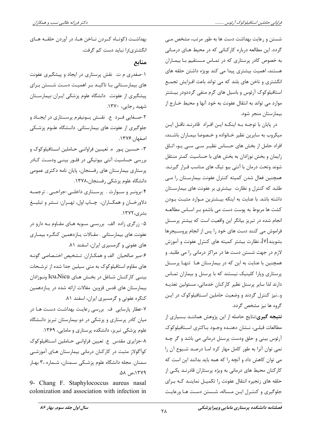شستن و رعایت بهداشت دست ها به طور مرتب، مشخص مــی گردد. این مطالعه درباره کارکنانی که در محیط هـای درمـانی به خصوص کادر پرستاری که در تمـاس مـستقیم بـا بیمـاران هستند، اهمیت بیشتری پیدا می کند بویژه داشتن حلقه های انگشتری و ناخن های بلند که می تواند باعث افـزایش تجمـع استافیلوکوک آرئوس و باسیل های گرم منفی گرددودر بیشتر موارد می تواند به انتقال عفونت به خود آنها و محیط خـارج از بيمارستان منجر شود.

در پایان با توجـه بـه اینکـه ایـن افـراد قادرنـد ناقـل ایـن میکروب به سایرین نظیر خـانواده و خـصوصا بیمـاران باشـند، افراد حامل از بخش های حساس نظیـر سـی سـی یـو، اتـاق زایمان و بخش نوزادان به بخش های با حساسیت کمتر منتقل شوند وتحت درمان با آنتی بیو تیک های مناسب قـرار گیرنـد. همچنین فعال شدن کمیته کنترل عفونت بیمارستان را می طلبد که کنترل و نظارت بیشتری بر عفونت های بیمارستان داشته باشد. با عنایت به اینکه بیـشترین مـوارد مثبـت بـودن كشت ها مربوط به پوست دست مى باشدو بـر اسـاس مطالعـه انجام شده در تبریز بیانگر این واقعیت است که بیشتر پرسـنل فراموش می کنند دست های خود را پس از انجام پروسیجرها بشويند[۷]، نظارت بيشتر كميته هاى كنترل عفونت و آموزش لازم در جهت شستن دست ها در مراکز درمانی را می طلبد. و همچنین با عنایت به این که در بیمارستان هـا تنهـا پرسـنل پرستاری وپارا کلینیک نیستند که با پرسنل و بیماران تمـاس دارند لذا سایر پرسنل نظیر کارکنان خدماتی، مسئولین تغذیـه و...نیز کنترل گردند و وضعیت حاملین استافیلوکوک در ایـن گروه ها نیز مشخص گردد.

**نتیجه گیری:**نتایج حاصله از این پژوهش هماننـد بـسیاری از مطالعات قبلے، نــشان دهنــده وجــود بــاکترى اســتافيلوکوک آرئوس بيني و حلق ودست پرسنل درماني مي باشد و گر چـه نمی توان آنرا به طور کامل مهار کرد اما درصد شیوع آن را می توان کاهش داد و آنچه را که همه باید بدانند این است که کارکنان محیط های درمانی به ویژه پرستاران قادرنـد یکـی از حلقه های زنجیره انتقال عفونت را تکمیـل نماینـد کـه بـرای جلوگیری و کنتـرل ایـن مـساله، شـستن دسـت هـا ورعایـت

بهداشت (کوتـاه کـردن نـاخن هـا، در آوردن حلقـه هـای انگشتری)را نباید دست کم گرفت.

منابع

۱-صفدری م ت. نقش پرستاری در ایجاد و پیشگیری عفونت های بیمارسـتانی بـا تاکیـد بـر اهمیـت دسـت شـستن بـرای پیشگیری از عفونت. دانشگاه علوم پزشکی ایـران-بیمارسـتان شهید رجایی، ۱۳۷۰. ۲-صــفایی فــرد ع. نقــش پــونیفرم پرســتاری در ایجــاد و

جلوگیری از عفونت های بیمارستانی. دانـشگاه علـوم پزشـکی اصفهان.۱۳۷۶.

۳- حـسین پـور ۵. تعیـین فراوانـی حـاملین اسـتافیلوکوک و بررسی حساسیت آنتی بیوتیکی در فلـور بینـی ودسـت کـادر پرستاری بیمارستان های رفسنجان، پایان نامه دکتری عمومی دانشگاه علوم یزشکی رفسنجان،۱۳۷۸.

۴-برونـر و سـوارث . پرسـتاری داخلـی-جراحـی . ترجمـه دلاورخــان و همكــاران، چــاپ اول، تهــران: نــشر و تبليــغ بشرى،١٣٧٢.

۵- زرگری زاده الف. بررسی سـویه هـای مقـاوم بـه دارو در عفونت های بیمارستانی . مقـالات یـازدهمین کنگـره بیمـاری های عفونی و گرمسیری ایران، اسفند ۸۱.

۶-میر صالحیان الف و همکـاران. تـشخیص اختـصاصی گونـه های مقاوم استافیلوکوک به متی سیلین جدا شده از ترشحات بينــي كاركنــان شــاغل در بخــش هــاي Icu،Nicu ونــوزادان بیمارستان های قدس قزوین. مقالات ارائه شده در پـازدهمین کنگره عفونی و گرمسیری ایران، اسفند ۸۱.

۷-عطار پارسایی ف. بررسی رعایت بهداشت دست هـا در میان کادر پرستاری و پزشکی در دو بیمارستان تبریز دانـشگاه

علوم پزشکی تبریز، دانشکده پرستاری و مامایی، ۱۳۶۹. ٨-جزايري مقدس ع. تعيين فراوانـي حـاملين اسـتافيلوكوک کوآگولاز مثبت در کارکنان درمانی بیمارستان هـای آموزشـی سمنان. مجله دانشگاه علوم پزشـکی سـمنان، شـماره ،۳ بهـار ١٣٧٩، ص ٥٨.

9- Chang F. Staphylococcus aureus nasal colonization and association with infection in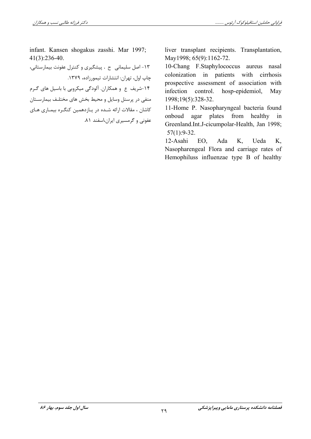infant. Kansen shogakus zasshi. Mar 1997;  $41(3):236-40.$ 

١٣- اصل سليماني ح . پيشگيري و كنترل عفونت بيمارستاني، چاپ اول، تهران: انتشارات تیمورزاده، ۱۳۷۹. ۱۴-شریف ع و همکاران. آلودگی میکروپی با باسیل های گـرم منفی در پرسنل وسایل و محیط بخش های مختلـف بیمارسـتان کاشان ، مقالات ارائه شده در يـازدهمين كنگـره بيمـاري هـاي عفونی و گرمسیری ایران،اسفند ۸۱. liver transplant recipients. Transplantation, May1998; 65(9):1162-72.

10-Chang F.Staphylococcus aureus nasal colonization in patients with cirrhosis prospective assessment of association with infection control. hosp-epidemiol, May 1998;19(5):328-32.

11-Home P. Nasopharyngeal bacteria found onboud agar plates from healthy  $in$ Greenland.Int.J-cicumpolar-Health, Jan 1998;  $57(1):9-32.$ 

12-Asahi EO, Ada K. Ueda K. Nasopharengeal Flora and carriage rates of Hemophiluss influenzae type B of healthy